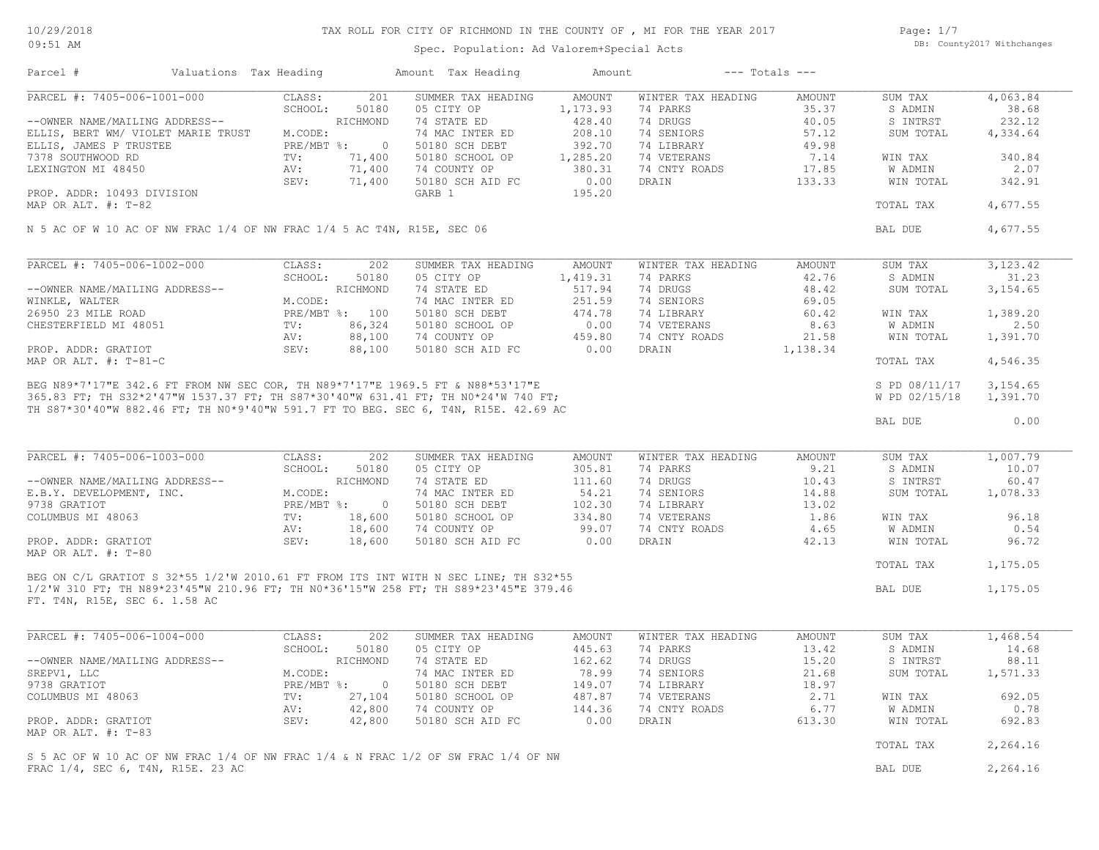# TAX ROLL FOR CITY OF RICHMOND IN THE COUNTY OF , MI FOR THE YEAR 2017

Spec. Population: Ad Valorem+Special Acts

Page: 1/7 DB: County2017 Withchanges

| Parcel #                                                               | Valuations Tax Heading                                                                                |                                          | Amount Tax Heading                                                                                                                                                                                                                   | Amount                       |                    | $---$ Totals $---$ |               |            |
|------------------------------------------------------------------------|-------------------------------------------------------------------------------------------------------|------------------------------------------|--------------------------------------------------------------------------------------------------------------------------------------------------------------------------------------------------------------------------------------|------------------------------|--------------------|--------------------|---------------|------------|
| PARCEL #: 7405-006-1001-000                                            |                                                                                                       | 201<br>CLASS:                            | SUMMER TAX HEADING                                                                                                                                                                                                                   | AMOUNT                       | WINTER TAX HEADING | AMOUNT             | SUM TAX       | 4,063.84   |
|                                                                        |                                                                                                       | SCHOOL:<br>50180                         | 05 CITY OP                                                                                                                                                                                                                           | 1,173.93                     | 74 PARKS           | 35.37              | S ADMIN       | 38.68      |
| --OWNER NAME/MAILING ADDRESS--                                         |                                                                                                       | RICHMOND                                 | 74 STATE ED                                                                                                                                                                                                                          | 428.40                       | 74 DRUGS           | 40.05              | S INTRST      | 232.12     |
| ELLIS, BERT WM/ VIOLET MARIE TRUST                                     |                                                                                                       | M.CODE:                                  | 74 MAC INTER ED                                                                                                                                                                                                                      | 208.10                       | 74 SENIORS         | 57.12              | SUM TOTAL     | 4,334.64   |
| ELLIS, JAMES P TRUSTEE                                                 |                                                                                                       | PRE/MBT %: 0<br>TV: 71,400<br>AV: 71,400 | 50180 SCH DEBT                                                                                                                                                                                                                       | 392.70                       | 74 LIBRARY         | 49.98              |               |            |
| 7378 SOUTHWOOD RD                                                      |                                                                                                       |                                          | 50180 SCHOOL OP                                                                                                                                                                                                                      | 1,285.20                     | 74 VETERANS        | 7.14               | WIN TAX       | 340.84     |
| LEXINGTON MI 48450                                                     |                                                                                                       | 71,400                                   | 74 COUNTY OP                                                                                                                                                                                                                         | 380.31                       | 74 CNTY ROADS      | 17.85              | W ADMIN       | 2.07       |
|                                                                        |                                                                                                       | 71,400<br>SEV:                           | 50180 SCH AID FC                                                                                                                                                                                                                     | 0.00                         | DRAIN              | 133.33             | WIN TOTAL     | 342.91     |
| PROP. ADDR: 10493 DIVISION                                             |                                                                                                       |                                          | GARB 1                                                                                                                                                                                                                               | 195.20                       |                    |                    |               |            |
| MAP OR ALT. #: T-82                                                    |                                                                                                       |                                          |                                                                                                                                                                                                                                      |                              |                    |                    | TOTAL TAX     | 4,677.55   |
| N 5 AC OF W 10 AC OF NW FRAC 1/4 OF NW FRAC 1/4 5 AC T4N, R15E, SEC 06 |                                                                                                       |                                          |                                                                                                                                                                                                                                      |                              |                    |                    | BAL DUE       | 4,677.55   |
|                                                                        |                                                                                                       |                                          |                                                                                                                                                                                                                                      |                              |                    |                    |               |            |
| PARCEL #: 7405-006-1002-000                                            |                                                                                                       | CLASS:<br>202                            | SUMMER TAX HEADING                                                                                                                                                                                                                   | AMOUNT                       | WINTER TAX HEADING | AMOUNT             | SUM TAX       | 3, 123. 42 |
|                                                                        |                                                                                                       | SCHOOL:<br>50180                         | 05 CITY OP                                                                                                                                                                                                                           | 1,419.31                     | 74 PARKS           | 42.76              | S ADMIN       | 31.23      |
| --OWNER NAME/MAILING ADDRESS--                                         |                                                                                                       | RICHMOND                                 | 74 STATE ED                                                                                                                                                                                                                          | 517.94                       | 74 DRUGS           | 48.42              | SUM TOTAL     | 3,154.65   |
| WINKLE, WALTER                                                         |                                                                                                       | M.CODE:                                  | 74 MAC INTER ED                                                                                                                                                                                                                      | 251.59                       | 74 SENIORS         | 69.05              |               |            |
| 26950 23 MILE ROAD                                                     |                                                                                                       | PRE/MBT %: 100                           | 50180 SCH DEBT                                                                                                                                                                                                                       | $251.59$<br>$474.78$<br>0.00 | 74 LIBRARY         | 60.42              | WIN TAX       | 1,389.20   |
| CHESTERFIELD MI 48051                                                  |                                                                                                       | 86,324<br>TV:                            | 50180 SCHOOL OP                                                                                                                                                                                                                      |                              | 74 VETERANS        | 8.63               | W ADMIN       | 2.50       |
|                                                                        |                                                                                                       | 88,100<br>AV:                            | 74 COUNTY OP                                                                                                                                                                                                                         | 459.80                       | 74 CNTY ROADS      | 21.58              | WIN TOTAL     | 1,391.70   |
| PROP. ADDR: GRATIOT                                                    |                                                                                                       | SEV:<br>88,100                           | 50180 SCH AID FC                                                                                                                                                                                                                     | 0.00                         | DRAIN              | 1,138.34           |               |            |
| MAP OR ALT. $\#$ : T-81-C                                              |                                                                                                       |                                          |                                                                                                                                                                                                                                      |                              |                    |                    | TOTAL TAX     | 4,546.35   |
|                                                                        |                                                                                                       |                                          | BEG N89*7'17"E 342.6 FT FROM NW SEC COR, TH N89*7'17"E 1969.5 FT & N88*53'17"E<br>365.83 FT; TH S32*2'47"W 1537.37 FT; TH S87*30'40"W 631.41 FT; TH N0*24'W 740 FT;<br>365.83 FT; TH S32*2'47"W 1537.37 FT; TH S87*30'40"W 631.41 FT |                              |                    |                    | S PD 08/11/17 | 3,154.65   |
|                                                                        |                                                                                                       |                                          |                                                                                                                                                                                                                                      |                              |                    |                    | W PD 02/15/18 | 1,391.70   |
|                                                                        |                                                                                                       |                                          |                                                                                                                                                                                                                                      |                              |                    |                    |               |            |
|                                                                        |                                                                                                       |                                          |                                                                                                                                                                                                                                      |                              |                    |                    | BAL DUE       | 0.00       |
|                                                                        |                                                                                                       |                                          |                                                                                                                                                                                                                                      |                              |                    |                    |               |            |
| PARCEL #: 7405-006-1003-000                                            |                                                                                                       | CLASS:<br>202                            | SUMMER TAX HEADING                                                                                                                                                                                                                   | AMOUNT                       | WINTER TAX HEADING | AMOUNT             | SUM TAX       | 1,007.79   |
|                                                                        | ---<br>--OWNER NAME/MAILING ADDRESS--<br>E.B.Y. DEVELOPMENT, INC. M.CODE:<br>PRE/MBT %:<br>PRE/MBT %: | 50180                                    | 05 CITY OP                                                                                                                                                                                                                           | 305.81                       | 74 PARKS           | 9.21               | S ADMIN       | 10.07      |
|                                                                        |                                                                                                       | RICHMOND                                 | 74 STATE ED                                                                                                                                                                                                                          | 111.60                       | 74 DRUGS           | 10.43              | S INTRST      | 60.47      |
|                                                                        |                                                                                                       |                                          | 74 MAC INTER ED                                                                                                                                                                                                                      | 54.21                        | 74 SENIORS         | 14.88              | SUM TOTAL     | 1,078.33   |
|                                                                        |                                                                                                       | $\overline{0}$                           | 50180 SCH DEBT                                                                                                                                                                                                                       | 102.30                       | 74 LIBRARY         | 13.02              |               |            |
| COLUMBUS MI 48063                                                      |                                                                                                       | TV:<br>18,600                            | 50180 SCHOOL OP                                                                                                                                                                                                                      | 334.80                       | 74 VETERANS        | 1.86               | WIN TAX       | 96.18      |
|                                                                        |                                                                                                       | 18,600<br>AV:                            | 74 COUNTY OP                                                                                                                                                                                                                         | 99.07                        | 74 CNTY ROADS      | 4.65               | W ADMIN       | 0.54       |
| PROP. ADDR: GRATIOT                                                    |                                                                                                       | SEV:<br>18,600                           | 50180 SCH AID FC                                                                                                                                                                                                                     | 0.00                         | DRAIN              | 42.13              | WIN TOTAL     | 96.72      |
| MAP OR ALT. #: T-80                                                    |                                                                                                       |                                          |                                                                                                                                                                                                                                      |                              |                    |                    | TOTAL TAX     | 1,175.05   |
|                                                                        |                                                                                                       |                                          | BEG ON C/L GRATIOT S 32*55 1/2'W 2010.61 FT FROM ITS INT WITH N SEC LINE; TH S32*55                                                                                                                                                  |                              |                    |                    |               |            |
| FT. T4N, R15E, SEC 6. 1.58 AC                                          |                                                                                                       |                                          | 1/2'W 310 FT; TH N89*23'45"W 210.96 FT; TH N0*36'15"W 258 FT; TH S89*23'45"E 379.46                                                                                                                                                  |                              |                    |                    | BAL DUE       | 1,175.05   |
|                                                                        |                                                                                                       |                                          |                                                                                                                                                                                                                                      |                              |                    |                    |               |            |
| PARCEL #: 7405-006-1004-000                                            |                                                                                                       | CLASS:<br>202                            | SUMMER TAX HEADING                                                                                                                                                                                                                   | <b>AMOUNT</b>                | WINTER TAX HEADING | <b>AMOUNT</b>      | SUM TAX       | 1,468.54   |
|                                                                        |                                                                                                       | SCHOOL:<br>50180                         | 05 CITY OP                                                                                                                                                                                                                           | 445.63                       | 74 PARKS           | 13.42              | S ADMIN       | 14.68      |
| --OWNER NAME/MAILING ADDRESS--                                         |                                                                                                       | RICHMOND                                 | 74 STATE ED                                                                                                                                                                                                                          | 162.62                       | 74 DRUGS           | 15.20              | S INTRST      | 88.11      |
| SREPV1, LLC                                                            |                                                                                                       | M.CODE:                                  | 74 MAC INTER ED                                                                                                                                                                                                                      | 78.99                        | 74 SENIORS         | 21.68              | SUM TOTAL     | 1,571.33   |
| 9738 GRATIOT                                                           |                                                                                                       | PRE/MBT %:<br>$\overline{0}$             | 50180 SCH DEBT                                                                                                                                                                                                                       | 149.07                       | 74 LIBRARY         | 18.97              |               |            |
| COLUMBUS MI 48063                                                      |                                                                                                       | TV:<br>27,104                            | 50180 SCHOOL OP                                                                                                                                                                                                                      | 487.87                       | 74 VETERANS        | 2.71               | WIN TAX       | 692.05     |
|                                                                        |                                                                                                       |                                          |                                                                                                                                                                                                                                      |                              |                    |                    |               |            |
|                                                                        |                                                                                                       | AV:<br>42,800                            | 74 COUNTY OP                                                                                                                                                                                                                         | 144.36                       | 74 CNTY ROADS      | 6.77               | W ADMIN       | 0.78       |
| PROP. ADDR: GRATIOT<br>MAP OR ALT. #: T-83                             |                                                                                                       | SEV:<br>42,800                           | 50180 SCH AID FC                                                                                                                                                                                                                     | 0.00                         | DRAIN              | 613.30             | WIN TOTAL     | 692.83     |
|                                                                        |                                                                                                       |                                          |                                                                                                                                                                                                                                      |                              |                    |                    | TOTAL TAX     | 2,264.16   |
|                                                                        |                                                                                                       |                                          | S 5 AC OF W 10 AC OF NW FRAC 1/4 OF NW FRAC 1/4 & N FRAC 1/2 OF SW FRAC 1/4 OF NW                                                                                                                                                    |                              |                    |                    |               | 2,264.16   |
| FRAC 1/4, SEC 6, T4N, R15E. 23 AC                                      |                                                                                                       |                                          |                                                                                                                                                                                                                                      |                              |                    |                    | BAL DUE       |            |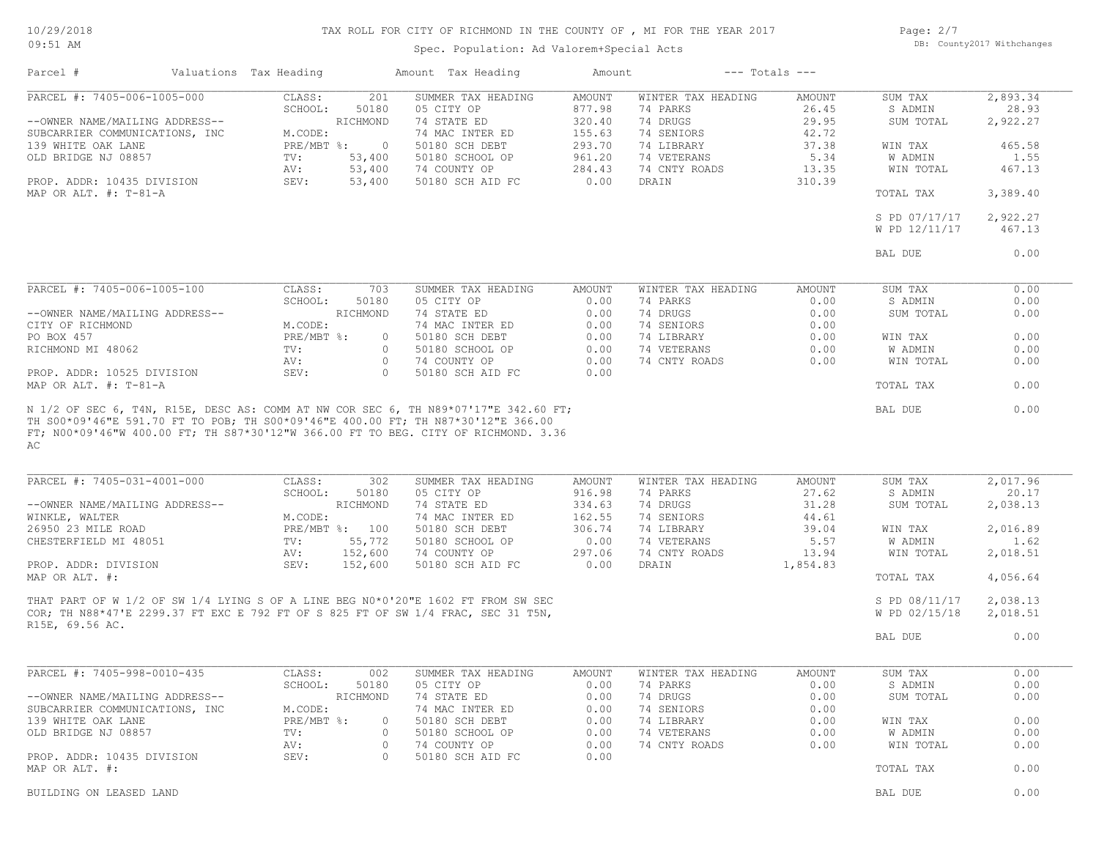#### 10/29/2018 09:51 AM

# TAX ROLL FOR CITY OF RICHMOND IN THE COUNTY OF , MI FOR THE YEAR 2017

Spec. Population: Ad Valorem+Special Acts

Page: 2/7 DB: County2017 Withchanges

| Parcel #                                                                                                                                                                                                | Valuations Tax Heading                                                 |                                                                          | Amount Tax Heading                                                                                                                                                      | Amount                                                                            |                                                                                                                 | $---$ Totals $---$                                                    |                                                                                        |                                                                       |
|---------------------------------------------------------------------------------------------------------------------------------------------------------------------------------------------------------|------------------------------------------------------------------------|--------------------------------------------------------------------------|-------------------------------------------------------------------------------------------------------------------------------------------------------------------------|-----------------------------------------------------------------------------------|-----------------------------------------------------------------------------------------------------------------|-----------------------------------------------------------------------|----------------------------------------------------------------------------------------|-----------------------------------------------------------------------|
| PARCEL #: 7405-006-1005-000<br>--OWNER NAME/MAILING ADDRESS--<br>SUBCARRIER COMMUNICATIONS, INC<br>139 WHITE OAK LANE<br>OLD BRIDGE NJ 08857<br>PROP. ADDR: 10435 DIVISION<br>MAP OR ALT. $\#$ : T-81-A | CLASS:<br>SCHOOL:<br>M.CODE:<br>$PRE/MBT$ $\div$<br>TV:<br>AV:<br>SEV: | 201<br>50180<br>RICHMOND<br>$\overline{0}$<br>53,400<br>53,400<br>53,400 | SUMMER TAX HEADING<br>05 CITY OP<br>74 STATE ED<br>74 MAC INTER ED<br>50180 SCH DEBT<br>50180 SCHOOL OP<br>74 COUNTY OP<br>50180 SCH AID FC                             | <b>AMOUNT</b><br>877.98<br>320.40<br>155.63<br>293.70<br>961.20<br>284.43<br>0.00 | WINTER TAX HEADING<br>74 PARKS<br>74 DRUGS<br>74 SENIORS<br>74 LIBRARY<br>74 VETERANS<br>74 CNTY ROADS<br>DRAIN | AMOUNT<br>26.45<br>29.95<br>42.72<br>37.38<br>5.34<br>13.35<br>310.39 | SUM TAX<br>S ADMIN<br>SUM TOTAL<br>WIN TAX<br><b>W ADMIN</b><br>WIN TOTAL<br>TOTAL TAX | 2,893.34<br>28.93<br>2,922.27<br>465.58<br>1.55<br>467.13<br>3,389.40 |
|                                                                                                                                                                                                         |                                                                        |                                                                          |                                                                                                                                                                         |                                                                                   |                                                                                                                 |                                                                       | S PD 07/17/17<br>W PD 12/11/17<br>BAL DUE                                              | 2,922.27<br>467.13<br>0.00                                            |
|                                                                                                                                                                                                         |                                                                        |                                                                          |                                                                                                                                                                         |                                                                                   |                                                                                                                 |                                                                       |                                                                                        |                                                                       |
| PARCEL #: 7405-006-1005-100<br>--OWNER NAME/MAILING ADDRESS--<br>CITY OF RICHMOND<br>PO BOX 457<br>RICHMOND MI 48062<br>PROP. ADDR: 10525 DIVISION                                                      | CLASS:<br>SCHOOL:<br>M.CODE:<br>PRE/MBT %:<br>TV:<br>AV:<br>SEV:       | 703<br>50180<br>RICHMOND<br>0<br>$\circ$<br>$\circ$<br>$\Omega$          | SUMMER TAX HEADING<br>05 CITY OP<br>74 STATE ED<br>74 MAC INTER ED<br>50180 SCH DEBT<br>50180 SCHOOL OP<br>74 COUNTY OP<br>50180 SCH AID FC                             | AMOUNT<br>0.00<br>0.00<br>0.00<br>0.00<br>0.00<br>0.00<br>0.00                    | WINTER TAX HEADING<br>74 PARKS<br>74 DRUGS<br>74 SENIORS<br>74 LIBRARY<br>74 VETERANS<br>74 CNTY ROADS          | AMOUNT<br>0.00<br>0.00<br>0.00<br>0.00<br>0.00<br>0.00                | SUM TAX<br>S ADMIN<br>SUM TOTAL<br>WIN TAX<br><b>W ADMIN</b><br>WIN TOTAL              | 0.00<br>0.00<br>0.00<br>0.00<br>0.00<br>0.00                          |
| MAP OR ALT. #: T-81-A                                                                                                                                                                                   |                                                                        |                                                                          | N 1/2 OF SEC 6, T4N, R15E, DESC AS: COMM AT NW COR SEC 6, TH N89*07'17"E 342.60 FT;<br>TH S00*09'46"E 591.70 FT TO POB; TH S00*09'46"E 400.00 FT; TH N87*30'12"E 366.00 |                                                                                   |                                                                                                                 |                                                                       | TOTAL TAX<br>BAL DUE                                                                   | 0.00<br>0.00                                                          |
| AC<br>PARCEL #: 7405-031-4001-000                                                                                                                                                                       | CLASS:                                                                 | 302                                                                      | FT; N00*09'46"W 400.00 FT; TH S87*30'12"W 366.00 FT TO BEG. CITY OF RICHMOND. 3.36<br>SUMMER TAX HEADING                                                                | AMOUNT                                                                            | WINTER TAX HEADING                                                                                              | AMOUNT                                                                | SUM TAX                                                                                | 2,017.96                                                              |
| --OWNER NAME/MAILING ADDRESS--<br>WINKLE, WALTER<br>26950 23 MILE ROAD<br>CHESTERFIELD MI 48051                                                                                                         | SCHOOL:<br>M.CODE:<br>TV:                                              | 50180<br>RICHMOND<br>PRE/MBT %: 100<br>55,772                            | 05 CITY OP<br>74 STATE ED<br>74 MAC INTER ED<br>50180 SCH DEBT<br>50180 SCHOOL OP                                                                                       | 916.98<br>334.63<br>162.55<br>306.74<br>0.00                                      | 74 PARKS<br>74 DRUGS<br>74 SENIORS<br>74 LIBRARY<br>74 VETERANS                                                 | 27.62<br>31.28<br>44.61<br>39.04<br>5.57                              | S ADMIN<br>SUM TOTAL<br>WIN TAX<br>W ADMIN                                             | 20.17<br>2,038.13<br>2,016.89<br>1.62                                 |
| PROP. ADDR: DIVISION<br>MAP OR ALT. #:                                                                                                                                                                  | AV:<br>SEV:                                                            | 152,600<br>152,600                                                       | 74 COUNTY OP<br>50180 SCH AID FC                                                                                                                                        | 297.06<br>0.00                                                                    | 74 CNTY ROADS<br>DRAIN                                                                                          | 13.94<br>1,854.83                                                     | WIN TOTAL<br>TOTAL TAX                                                                 | 2,018.51<br>4,056.64                                                  |
| R15E, 69.56 AC.                                                                                                                                                                                         |                                                                        |                                                                          | THAT PART OF W 1/2 OF SW 1/4 LYING S OF A LINE BEG N0*0'20"E 1602 FT FROM SW SEC<br>COR; TH N88*47'E 2299.37 FT EXC E 792 FT OF S 825 FT OF SW 1/4 FRAC, SEC 31 T5N,    |                                                                                   |                                                                                                                 |                                                                       | S PD 08/11/17<br>W PD 02/15/18                                                         | 2,038.13<br>2,018.51                                                  |
|                                                                                                                                                                                                         |                                                                        |                                                                          |                                                                                                                                                                         |                                                                                   |                                                                                                                 |                                                                       | BAL DUE                                                                                | 0.00                                                                  |
| PARCEL #: 7405-998-0010-435                                                                                                                                                                             | CLASS:                                                                 | 002<br>SCHOOL: 50180                                                     | SUMMER TAX HEADING<br>05 CITY OP                                                                                                                                        | AMOUNT<br>0.00                                                                    | WINTER TAX HEADING<br>74 PARKS                                                                                  | AMOUNT<br>0.00                                                        | SUM TAX<br>S ADMIN                                                                     | 0.00<br>0.00                                                          |
| --OWNER NAME/MAILING ADDRESS--<br>SUBCARRIER COMMUNICATIONS, INC<br>139 WHITE OAK LANE                                                                                                                  | M.CODE:<br>PRE/MBT %:                                                  | RICHMOND<br>$\circ$                                                      | 74 STATE ED<br>74 MAC INTER ED<br>50180 SCH DEBT                                                                                                                        | 0.00<br>0.00<br>0.00                                                              | 74 DRUGS<br>74 SENIORS<br>74 LIBRARY                                                                            | 0.00<br>0.00<br>0.00                                                  | SUM TOTAL<br>WIN TAX                                                                   | 0.00<br>0.00                                                          |
| OLD BRIDGE NJ 08857                                                                                                                                                                                     | TV:<br>AV:                                                             | $\circ$<br>$\circ$                                                       | 50180 SCHOOL OP<br>74 COUNTY OP                                                                                                                                         | 0.00<br>0.00                                                                      | 74 VETERANS<br>74 CNTY ROADS                                                                                    | 0.00<br>0.00                                                          | W ADMIN<br>WIN TOTAL                                                                   | 0.00<br>0.00                                                          |
| PROP. ADDR: 10435 DIVISION<br>MAP OR ALT. #:                                                                                                                                                            | SEV:                                                                   | $\circ$                                                                  | 50180 SCH AID FC                                                                                                                                                        | 0.00                                                                              |                                                                                                                 |                                                                       | TOTAL TAX                                                                              | 0.00                                                                  |
| BUILDING ON LEASED LAND                                                                                                                                                                                 |                                                                        |                                                                          |                                                                                                                                                                         |                                                                                   |                                                                                                                 |                                                                       | BAL DUE                                                                                | 0.00                                                                  |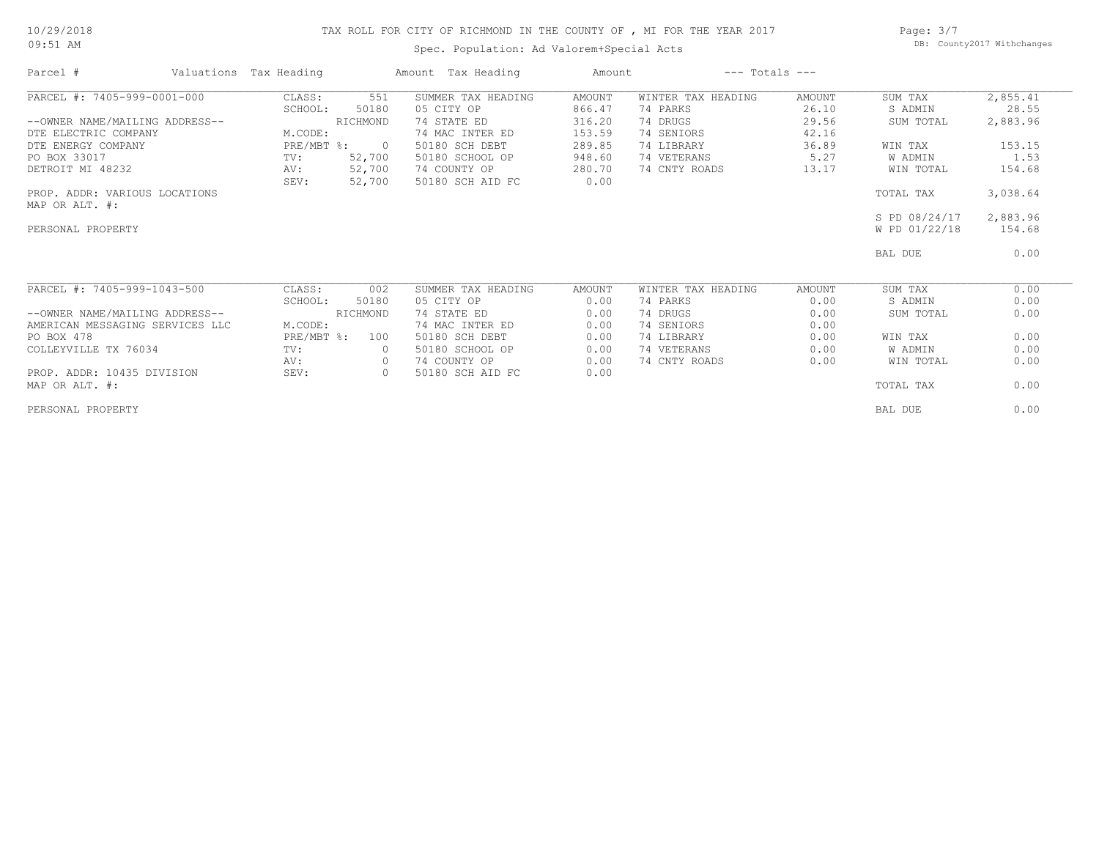#### 10/29/2018 09:51 AM

# TAX ROLL FOR CITY OF RICHMOND IN THE COUNTY OF , MI FOR THE YEAR 2017

Spec. Population: Ad Valorem+Special Acts

Page: 3/7 DB: County2017 Withchanges

| Parcel #                        | Valuations Tax Heading |                          | Amount Tax Heading | Amount |                    | $---$ Totals $---$ |               |          |
|---------------------------------|------------------------|--------------------------|--------------------|--------|--------------------|--------------------|---------------|----------|
| PARCEL #: 7405-999-0001-000     | CLASS:                 | 551                      | SUMMER TAX HEADING | AMOUNT | WINTER TAX HEADING | AMOUNT             | SUM TAX       | 2,855.41 |
|                                 | SCHOOL:                | 50180                    | 05 CITY OP         | 866.47 | 74 PARKS           | 26.10              | S ADMIN       | 28.55    |
| --OWNER NAME/MAILING ADDRESS--  |                        | RICHMOND                 | 74 STATE ED        | 316.20 | 74 DRUGS           | 29.56              | SUM TOTAL     | 2,883.96 |
| DTE ELECTRIC COMPANY            | M.CODE:                |                          | 74 MAC INTER ED    | 153.59 | 74 SENIORS         | 42.16              |               |          |
| DTE ENERGY COMPANY              | $PRE/MBT$ %:           | $\overline{\phantom{0}}$ | 50180 SCH DEBT     | 289.85 | 74 LIBRARY         | 36.89              | WIN TAX       | 153.15   |
| PO BOX 33017                    | TV:                    | 52,700                   | 50180 SCHOOL OP    | 948.60 | 74 VETERANS        | 5.27               | W ADMIN       | 1.53     |
| DETROIT MI 48232                | AV:                    | 52,700                   | 74 COUNTY OP       | 280.70 | 74 CNTY ROADS      | 13.17              | WIN TOTAL     | 154.68   |
|                                 | SEV:                   | 52,700                   | 50180 SCH AID FC   | 0.00   |                    |                    |               |          |
| PROP. ADDR: VARIOUS LOCATIONS   |                        |                          |                    |        |                    |                    | TOTAL TAX     | 3,038.64 |
| MAP OR ALT. #:                  |                        |                          |                    |        |                    |                    |               |          |
|                                 |                        |                          |                    |        |                    |                    | S PD 08/24/17 | 2,883.96 |
| PERSONAL PROPERTY               |                        |                          |                    |        |                    |                    | W PD 01/22/18 | 154.68   |
|                                 |                        |                          |                    |        |                    |                    | BAL DUE       | 0.00     |
| PARCEL #: 7405-999-1043-500     | CLASS:                 | 002                      | SUMMER TAX HEADING | AMOUNT | WINTER TAX HEADING | <b>AMOUNT</b>      | SUM TAX       | 0.00     |
|                                 | SCHOOL:                | 50180                    | 05 CITY OP         | 0.00   | 74 PARKS           | 0.00               | S ADMIN       | 0.00     |
| --OWNER NAME/MAILING ADDRESS--  |                        | RICHMOND                 | 74 STATE ED        | 0.00   | 74 DRUGS           | 0.00               | SUM TOTAL     | 0.00     |
| AMERICAN MESSAGING SERVICES LLC | M.CODE:                |                          | 74 MAC INTER ED    | 0.00   | 74 SENIORS         | 0.00               |               |          |
| PO BOX 478                      | $PRE/MBT$ %:           | 100                      | 50180 SCH DEBT     | 0.00   | 74 LIBRARY         | 0.00               | WIN TAX       | 0.00     |
| COLLEYVILLE TX 76034            | TV:                    | $\circ$                  | 50180 SCHOOL OP    | 0.00   | 74 VETERANS        | 0.00               | W ADMIN       | 0.00     |
|                                 | AV:                    | $\circ$                  | 74 COUNTY OP       | 0.00   | 74 CNTY ROADS      | 0.00               | WIN TOTAL     | 0.00     |
| PROP. ADDR: 10435 DIVISION      | SEV:                   | $\circ$                  | 50180 SCH AID FC   | 0.00   |                    |                    |               |          |
| MAP OR ALT. #:                  |                        |                          |                    |        |                    |                    | TOTAL TAX     | 0.00     |
| PERSONAL PROPERTY               |                        |                          |                    |        |                    |                    | BAL DUE       | 0.00     |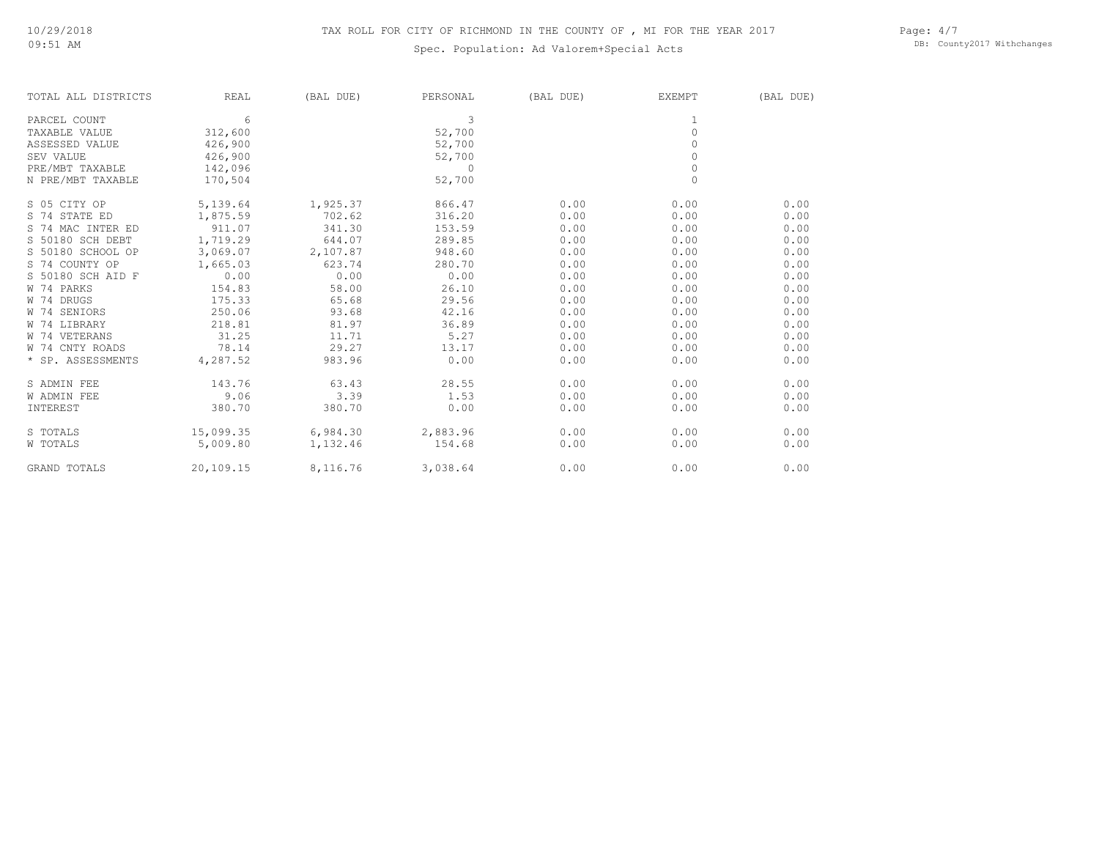# Spec. Population: Ad Valorem+Special Acts

Page: 4/7 DB: County2017 Withchanges

| TOTAL ALL DISTRICTS | REAL      | (BAL DUE) | PERSONAL | (BAL DUE) | EXEMPT   | (BAL DUE) |
|---------------------|-----------|-----------|----------|-----------|----------|-----------|
| PARCEL COUNT        | 6         |           | 3        |           |          |           |
| TAXABLE VALUE       | 312,600   |           | 52,700   |           | $\circ$  |           |
| ASSESSED VALUE      | 426,900   |           | 52,700   |           | $\Omega$ |           |
| SEV VALUE           | 426,900   |           | 52,700   |           |          |           |
| PRE/MBT TAXABLE     | 142,096   |           | $\circ$  |           | $\circ$  |           |
| N PRE/MBT TAXABLE   | 170,504   |           | 52,700   |           | $\Omega$ |           |
| S 05 CITY OP        | 5,139.64  | 1,925.37  | 866.47   | 0.00      | 0.00     | 0.00      |
| S 74 STATE ED       | 1,875.59  | 702.62    | 316.20   | 0.00      | 0.00     | 0.00      |
| S 74 MAC INTER ED   | 911.07    | 341.30    | 153.59   | 0.00      | 0.00     | 0.00      |
| S 50180 SCH DEBT    | 1,719.29  | 644.07    | 289.85   | 0.00      | 0.00     | 0.00      |
| S 50180 SCHOOL OP   | 3,069.07  | 2,107.87  | 948.60   | 0.00      | 0.00     | 0.00      |
| S 74 COUNTY OP      | 1,665.03  | 623.74    | 280.70   | 0.00      | 0.00     | 0.00      |
| S 50180 SCH AID F   | 0.00      | 0.00      | 0.00     | 0.00      | 0.00     | 0.00      |
| W 74 PARKS          | 154.83    | 58.00     | 26.10    | 0.00      | 0.00     | 0.00      |
| W 74 DRUGS          | 175.33    | 65.68     | 29.56    | 0.00      | 0.00     | 0.00      |
| W 74 SENIORS        | 250.06    | 93.68     | 42.16    | 0.00      | 0.00     | 0.00      |
| W 74 LIBRARY        | 218.81    | 81.97     | 36.89    | 0.00      | 0.00     | 0.00      |
| W 74 VETERANS       | 31.25     | 11.71     | 5.27     | 0.00      | 0.00     | 0.00      |
| W 74 CNTY ROADS     | 78.14     | 29.27     | 13.17    | 0.00      | 0.00     | 0.00      |
| * SP. ASSESSMENTS   | 4,287.52  | 983.96    | 0.00     | 0.00      | 0.00     | 0.00      |
| S ADMIN FEE         | 143.76    | 63.43     | 28.55    | 0.00      | 0.00     | 0.00      |
| <b>W ADMIN FEE</b>  | 9.06      | 3.39      | 1.53     | 0.00      | 0.00     | 0.00      |
| INTEREST            | 380.70    | 380.70    | 0.00     | 0.00      | 0.00     | 0.00      |
| S TOTALS            | 15,099.35 | 6,984.30  | 2,883.96 | 0.00      | 0.00     | 0.00      |
| W TOTALS            | 5,009.80  | 1,132.46  | 154.68   | 0.00      | 0.00     | 0.00      |
| <b>GRAND TOTALS</b> | 20,109.15 | 8,116.76  | 3,038.64 | 0.00      | 0.00     | 0.00      |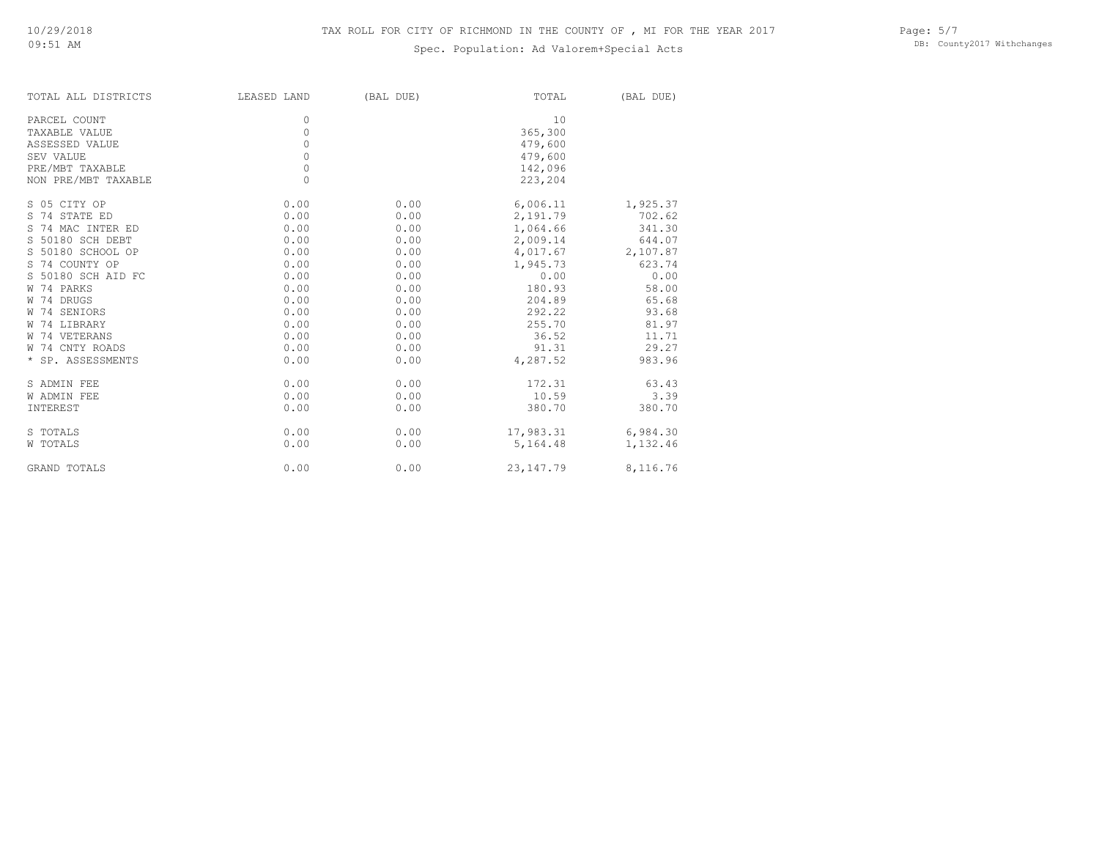# Spec. Population: Ad Valorem+Special Acts

| TOTAL ALL DISTRICTS | LEASED LAND | (BAL DUE) | TOTAL       | (BAL DUE) |
|---------------------|-------------|-----------|-------------|-----------|
| PARCEL COUNT        | 0           |           | 10          |           |
| TAXABLE VALUE       | $\circ$     |           | 365,300     |           |
| ASSESSED VALUE      | $\circ$     |           | 479,600     |           |
| SEV VALUE           | 0           |           | 479,600     |           |
| PRE/MBT TAXABLE     | $\circ$     |           | 142,096     |           |
| NON PRE/MBT TAXABLE | $\Omega$    |           | 223,204     |           |
| S 05 CITY OP        | 0.00        | 0.00      | 6,006.11    | 1,925.37  |
| S 74 STATE ED       | 0.00        | 0.00      | 2,191.79    | 702.62    |
| S 74 MAC INTER ED   | 0.00        | 0.00      | 1,064.66    | 341.30    |
| S 50180 SCH DEBT    | 0.00        | 0.00      | 2,009.14    | 644.07    |
| S 50180 SCHOOL OP   | 0.00        | 0.00      | 4,017.67    | 2,107.87  |
| S 74 COUNTY OP      | 0.00        | 0.00      | 1,945.73    | 623.74    |
| S 50180 SCH AID FC  | 0.00        | 0.00      | 0.00        | 0.00      |
| W 74 PARKS          | 0.00        | 0.00      | 180.93      | 58.00     |
| W 74 DRUGS          | 0.00        | 0.00      | 204.89      | 65.68     |
| W 74 SENIORS        | 0.00        | 0.00      | 292.22      | 93.68     |
| W 74 LIBRARY        | 0.00        | 0.00      | 255.70      | 81.97     |
| W 74 VETERANS       | 0.00        | 0.00      | 36.52       | 11.71     |
| W 74 CNTY ROADS     | 0.00        | 0.00      | 91.31       | 29.27     |
| * SP. ASSESSMENTS   | 0.00        | 0.00      | 4,287.52    | 983.96    |
| S ADMIN FEE         | 0.00        | 0.00      | 172.31      | 63.43     |
| <b>W ADMIN FEE</b>  | 0.00        | 0.00      | 10.59       | 3.39      |
| INTEREST            | 0.00        | 0.00      | 380.70      | 380.70    |
| S TOTALS            | 0.00        | 0.00      | 17,983.31   | 6,984.30  |
| W TOTALS            | 0.00        | 0.00      | 5,164.48    | 1,132.46  |
| <b>GRAND TOTALS</b> | 0.00        | 0.00      | 23, 147. 79 | 8,116.76  |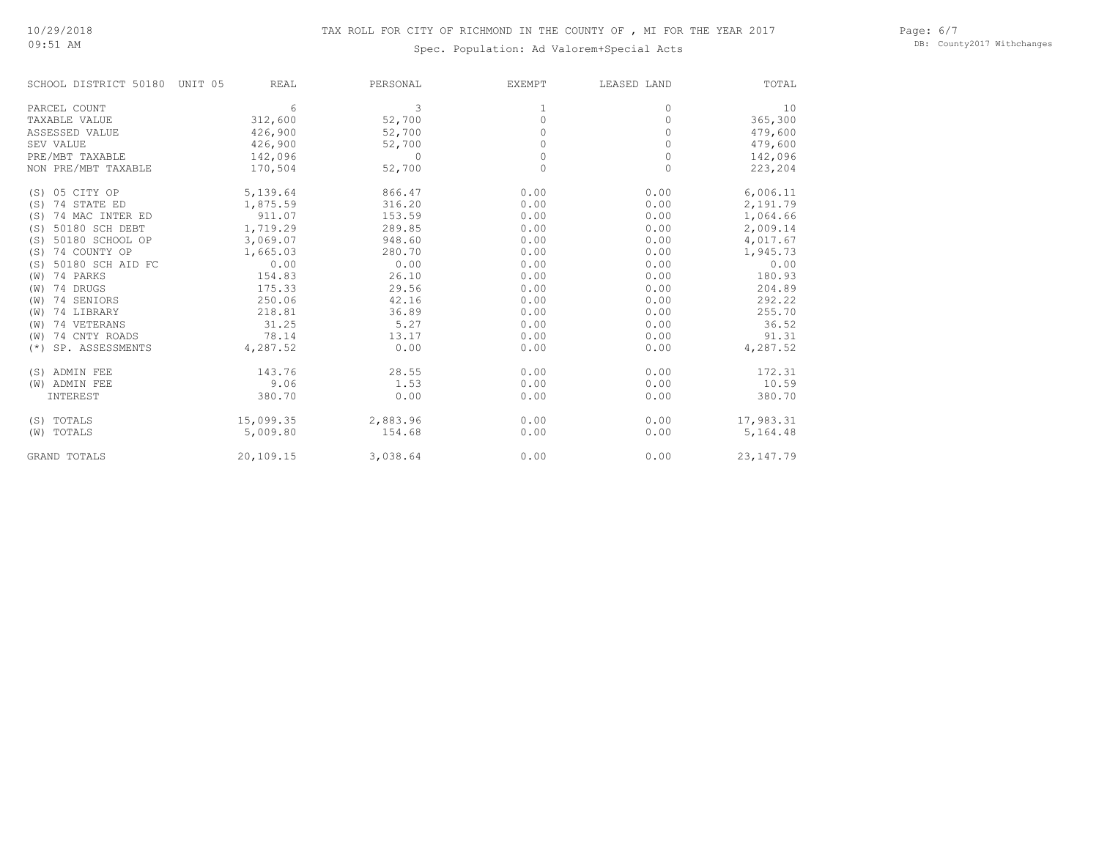09:51 AM

# Spec. Population: Ad Valorem+Special Acts

Page: 6/7 DB: County2017 Withchanges

| SCHOOL DISTRICT 50180    | UNIT 05<br>REAL | PERSONAL | <b>EXEMPT</b> | LEASED LAND | TOTAL      |
|--------------------------|-----------------|----------|---------------|-------------|------------|
| PARCEL COUNT             | 6               | 3        |               | 0           | 10         |
| TAXABLE VALUE            | 312,600         | 52,700   | 0             | 0           | 365,300    |
| ASSESSED VALUE           | 426,900         | 52,700   | O             | $\bigcap$   | 479,600    |
| SEV VALUE                | 426,900         | 52,700   |               |             | 479,600    |
| PRE/MBT TAXABLE          | 142,096         | $\Omega$ | $\Omega$      | 0           | 142,096    |
| NON PRE/MBT TAXABLE      | 170,504         | 52,700   | $\Omega$      | $\Omega$    | 223,204    |
| (S) 05 CITY OP           | 5,139.64        | 866.47   | 0.00          | 0.00        | 6,006.11   |
| 74 STATE ED<br>(S)       | 1,875.59        | 316.20   | 0.00          | 0.00        | 2,191.79   |
| 74 MAC INTER ED<br>(S)   | 911.07          | 153.59   | 0.00          | 0.00        | 1,064.66   |
| 50180 SCH DEBT<br>(S)    | 1,719.29        | 289.85   | 0.00          | 0.00        | 2,009.14   |
| 50180 SCHOOL OP<br>(S)   | 3,069.07        | 948.60   | 0.00          | 0.00        | 4,017.67   |
| 74 COUNTY OP<br>(S)      | 1,665.03        | 280.70   | 0.00          | 0.00        | 1,945.73   |
| 50180 SCH AID FC<br>(S)  | 0.00            | 0.00     | 0.00          | 0.00        | 0.00       |
| 74 PARKS<br>(W)          | 154.83          | 26.10    | 0.00          | 0.00        | 180.93     |
| 74 DRUGS<br>(W)          | 175.33          | 29.56    | 0.00          | 0.00        | 204.89     |
| 74 SENIORS<br>(W)        | 250.06          | 42.16    | 0.00          | 0.00        | 292.22     |
| 74 LIBRARY<br>(W)        | 218.81          | 36.89    | 0.00          | 0.00        | 255.70     |
| 74 VETERANS<br>(W)       | 31.25           | 5.27     | 0.00          | 0.00        | 36.52      |
| 74 CNTY ROADS<br>(W)     | 78.14           | 13.17    | 0.00          | 0.00        | 91.31      |
| SP. ASSESSMENTS<br>$(*)$ | 4,287.52        | 0.00     | 0.00          | 0.00        | 4,287.52   |
| (S) ADMIN FEE            | 143.76          | 28.55    | 0.00          | 0.00        | 172.31     |
| (W) ADMIN FEE            | 9.06            | 1.53     | 0.00          | 0.00        | 10.59      |
| INTEREST                 | 380.70          | 0.00     | 0.00          | 0.00        | 380.70     |
| (S) TOTALS               | 15,099.35       | 2,883.96 | 0.00          | 0.00        | 17,983.31  |
| TOTALS<br>(W)            | 5,009.80        | 154.68   | 0.00          | 0.00        | 5,164.48   |
| <b>GRAND TOTALS</b>      | 20,109.15       | 3,038.64 | 0.00          | 0.00        | 23, 147.79 |